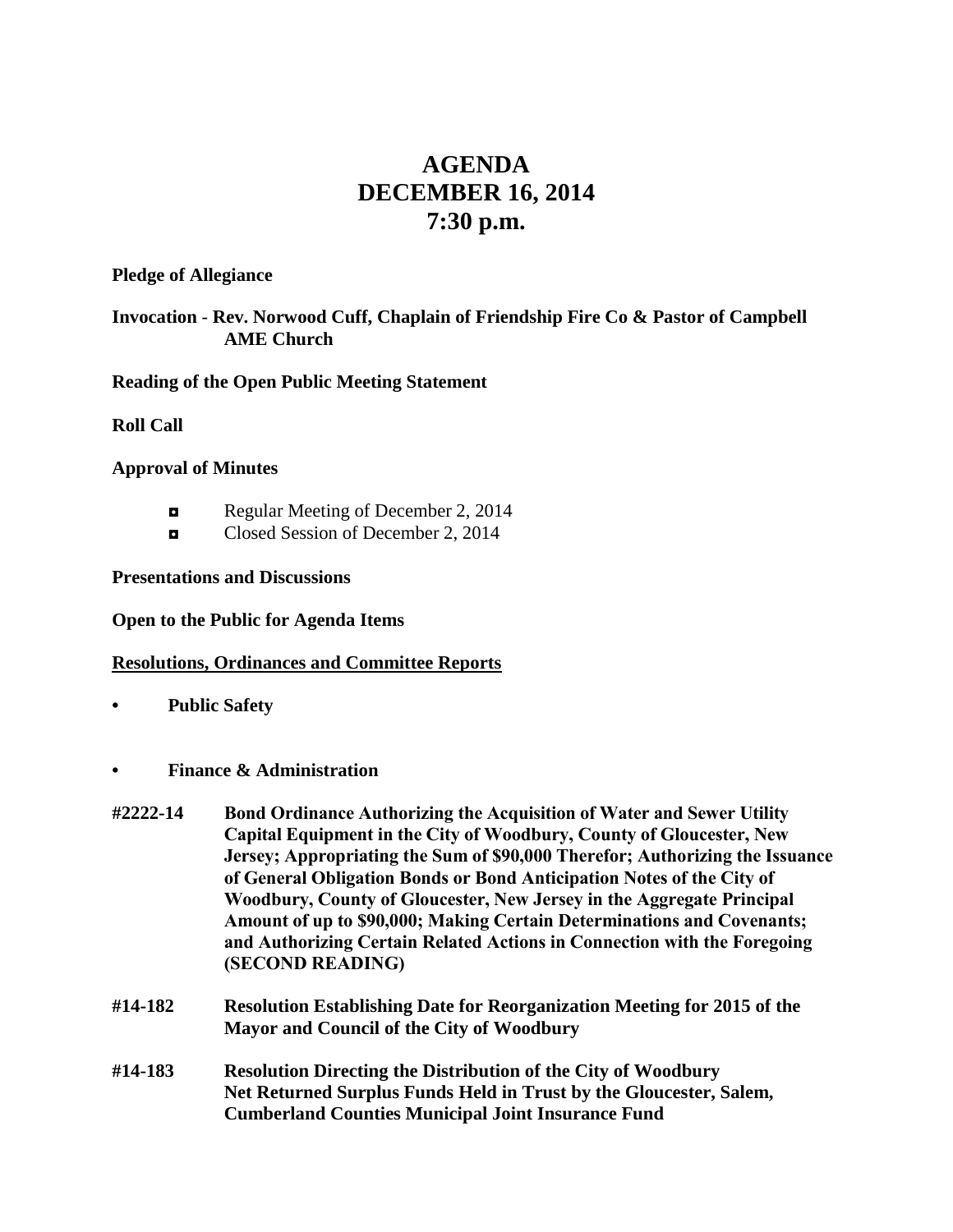# **AGENDA DECEMBER 16, 2014 7:30 p.m.**

**Pledge of Allegiance**

# **Invocation** - **Rev. Norwood Cuff, Chaplain of Friendship Fire Co & Pastor of Campbell AME Church**

**Reading of the Open Public Meeting Statement**

**Roll Call**

## **Approval of Minutes**

- Regular Meeting of December 2, 2014
- ◘ Closed Session of December 2, 2014

# **Presentations and Discussions**

#### **Open to the Public for Agenda Items**

#### **Resolutions, Ordinances and Committee Reports**

- **• Public Safety**
- **• Finance & Administration**
- **#2222-14 Bond Ordinance Authorizing the Acquisition of Water and Sewer Utility Capital Equipment in the City of Woodbury, County of Gloucester, New Jersey; Appropriating the Sum of \$90,000 Therefor; Authorizing the Issuance of General Obligation Bonds or Bond Anticipation Notes of the City of Woodbury, County of Gloucester, New Jersey in the Aggregate Principal Amount of up to \$90,000; Making Certain Determinations and Covenants; and Authorizing Certain Related Actions in Connection with the Foregoing (SECOND READING)**
- **#14-182 Resolution Establishing Date for Reorganization Meeting for 2015 of the Mayor and Council of the City of Woodbury**
- **#14-183 Resolution Directing the Distribution of the City of Woodbury Net Returned Surplus Funds Held in Trust by the Gloucester, Salem, Cumberland Counties Municipal Joint Insurance Fund**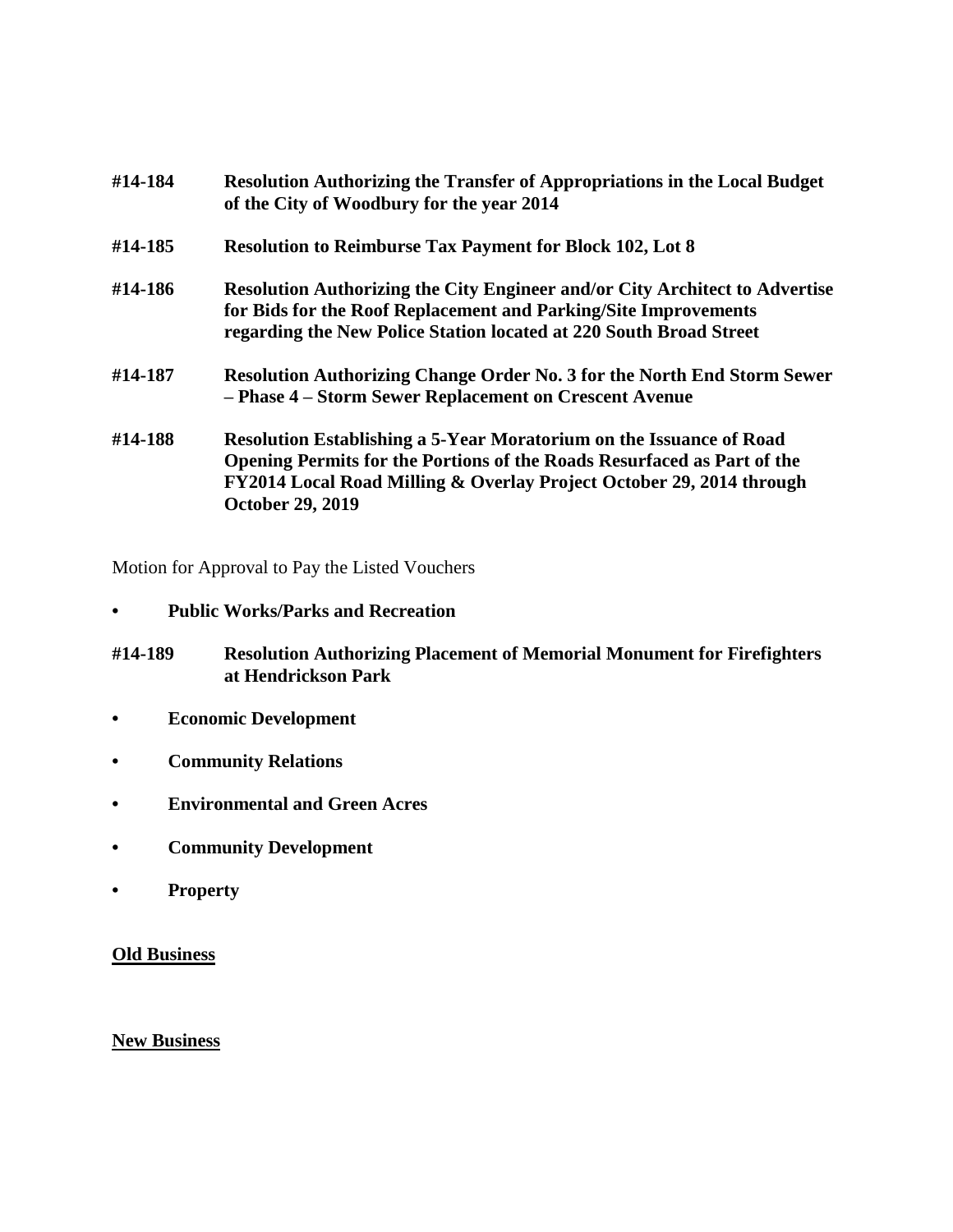| #14-184 | <b>Resolution Authorizing the Transfer of Appropriations in the Local Budget</b><br>of the City of Woodbury for the year 2014                                                                                                                     |
|---------|---------------------------------------------------------------------------------------------------------------------------------------------------------------------------------------------------------------------------------------------------|
| #14-185 | <b>Resolution to Reimburse Tax Payment for Block 102, Lot 8</b>                                                                                                                                                                                   |
| #14-186 | <b>Resolution Authorizing the City Engineer and/or City Architect to Advertise</b><br>for Bids for the Roof Replacement and Parking/Site Improvements<br>regarding the New Police Station located at 220 South Broad Street                       |
| #14-187 | <b>Resolution Authorizing Change Order No. 3 for the North End Storm Sewer</b><br>- Phase 4 - Storm Sewer Replacement on Crescent Avenue                                                                                                          |
| #14-188 | Resolution Establishing a 5-Year Moratorium on the Issuance of Road<br>Opening Permits for the Portions of the Roads Resurfaced as Part of the<br>FY2014 Local Road Milling & Overlay Project October 29, 2014 through<br><b>October 29, 2019</b> |

Motion for Approval to Pay the Listed Vouchers

- **• Public Works/Parks and Recreation**
- **#14-189 Resolution Authorizing Placement of Memorial Monument for Firefighters at Hendrickson Park**
- **• Economic Development**
- **• Community Relations**
- **• Environmental and Green Acres**
- **• Community Development**
- **• Property**

## **Old Business**

#### **New Business**